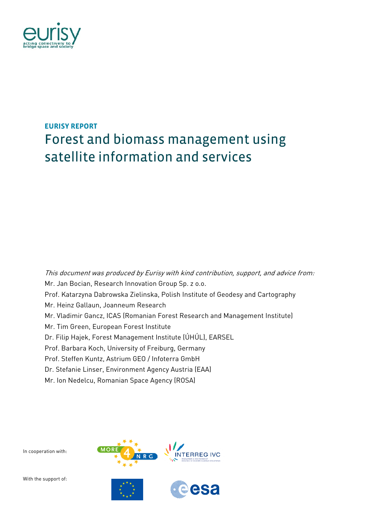

# **EURISY REPORT**  Forest and biomass management using satellite information and services

This document was produced by Eurisy with kind contribution, support, and advice from: Mr. Jan Bocian, Research Innovation Group Sp. z o.o. Prof. Katarzyna Dabrowska Zielinska, Polish Institute of Geodesy and Cartography Mr. Heinz Gallaun, Joanneum Research Mr. Vladimir Gancz, ICAS (Romanian Forest Research and Management Institute) Mr. Tim Green, European Forest Institute Dr. Filip Hajek, Forest Management Institute (ÚHÚL), EARSEL Prof. Barbara Koch, University of Freiburg, Germany Prof. Steffen Kuntz, Astrium GEO / Infoterra GmbH Dr. Stefanie Linser, Environment Agency Austria (EAA) Mr. Ion Nedelcu, Romanian Space Agency (ROSA)

In cooperation with:

With the support of:

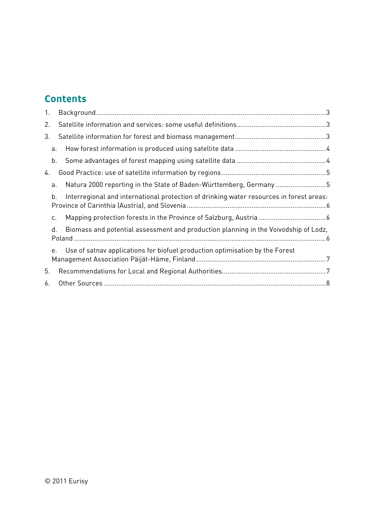### **Contents**

| 1. |    |                                                                                         |  |
|----|----|-----------------------------------------------------------------------------------------|--|
| 2. |    |                                                                                         |  |
| 3. |    |                                                                                         |  |
|    | а. |                                                                                         |  |
|    | b. |                                                                                         |  |
| 4. |    |                                                                                         |  |
|    | a. | Natura 2000 reporting in the State of Baden-Württemberg, Germany 5                      |  |
|    | b. | Interregional and international protection of drinking water resources in forest areas: |  |
|    | C. |                                                                                         |  |
|    | d. | Biomass and potential assessment and production planning in the Voivodship of Lodz,     |  |
|    | e. | Use of satnav applications for biofuel production optimisation by the Forest            |  |
| 5. |    |                                                                                         |  |
| 6. |    |                                                                                         |  |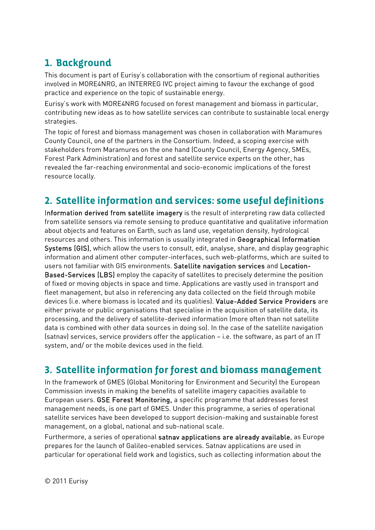## **1. Background**

This document is part of Eurisy's collaboration with the consortium of regional authorities involved in MORE4NRG, an INTERREG IVC project aiming to favour the exchange of good practice and experience on the topic of sustainable energy.

Eurisy's work with MORE4NRG focused on forest management and biomass in particular, contributing new ideas as to how satellite services can contribute to sustainable local energy strategies.

The topic of forest and biomass management was chosen in collaboration with Maramures County Council, one of the partners in the Consortium. Indeed, a scoping exercise with stakeholders from Maramures on the one hand (County Council, Energy Agency, SMEs, Forest Park Administration) and forest and satellite service experts on the other, has revealed the far-reaching environmental and socio-economic implications of the forest resource locally.

### **2. Satellite information and services: some useful definitions**

Information derived from satellite imagery is the result of interpreting raw data collected from satellite sensors via remote sensing to produce quantitative and qualitative information about objects and features on Earth, such as land use, vegetation density, hydrological resources and others. This information is usually integrated in Geographical Information Systems (GIS), which allow the users to consult, edit, analyse, share, and display geographic information and aliment other computer-interfaces, such web-platforms, which are suited to users not familiar with GIS environments. Satellite navigation services and Location-Based-Services (LBS) employ the capacity of satellites to precisely determine the position of fixed or moving objects in space and time. Applications are vastly used in transport and fleet management, but also in referencing any data collected on the field through mobile devices (i.e. where biomass is located and its qualities). Value-Added Service Providers are either private or public organisations that specialise in the acquisition of satellite data, its processing, and the delivery of satellite-derived information (more often than not satellite data is combined with other data sources in doing so). In the case of the satellite navigation (satnav) services, service providers offer the application – i.e. the software, as part of an IT system, and/ or the mobile devices used in the field.

### **3. Satellite information for forest and biomass management**

In the framework of GMES (Global Monitoring for Environment and Security) the European Commission invests in making the benefits of satellite imagery capacities available to European users. GSE Forest Monitoring, a specific programme that addresses forest management needs, is one part of GMES. Under this programme, a series of operational satellite services have been developed to support decision-making and sustainable forest management, on a global, national and sub-national scale.

Furthermore, a series of operational satnav applications are already available, as Europe prepares for the launch of Galileo-enabled services. Satnav applications are used in particular for operational field work and logistics, such as collecting information about the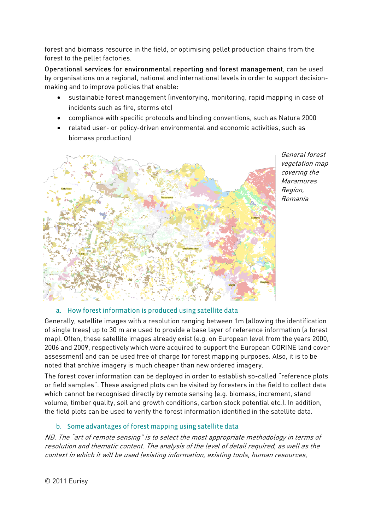forest and biomass resource in the field, or optimising pellet production chains from the forest to the pellet factories.

Operational services for environmental reporting and forest management, can be used by organisations on a regional, national and international levels in order to support decisionmaking and to improve policies that enable:

- sustainable forest management (inventorying, monitoring, rapid mapping in case of incidents such as fire, storms etc)
- compliance with specific protocols and binding conventions, such as Natura 2000
- related user- or policy-driven environmental and economic activities, such as biomass production)



General forest vegetation map covering the **Maramures** Region, Romania

### a. How forest information is produced using satellite data

Generally, satellite images with a resolution ranging between 1m (allowing the identification of single trees) up to 30 m are used to provide a base layer of reference information (a forest map). Often, these satellite images already exist (e.g. on European level from the years 2000, 2006 and 2009, respectively which were acquired to support the European CORINE land cover assessment) and can be used free of charge for forest mapping purposes. Also, it is to be noted that archive imagery is much cheaper than new ordered imagery.

The forest cover information can be deployed in order to establish so-called "reference plots or field samples". These assigned plots can be visited by foresters in the field to collect data which cannot be recognised directly by remote sensing (e.g. biomass, increment, stand volume, timber quality, soil and growth conditions, carbon stock potential etc.). In addition, the field plots can be used to verify the forest information identified in the satellite data.

### b. Some advantages of forest mapping using satellite data

NB. The "art of remote sensing" is to select the most appropriate methodology in terms of resolution and thematic content. The analysis of the level of detail required, as well as the context in which it will be used (existing information, existing tools, human resources,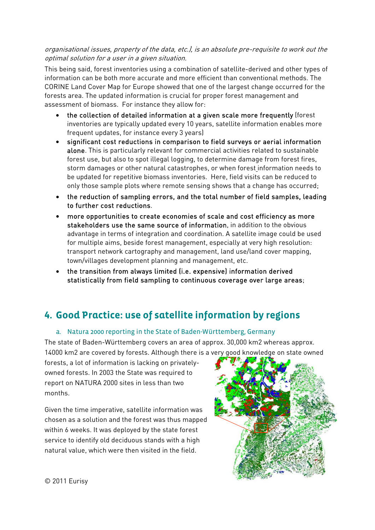#### organisational issues, property of the data, etc.), is an absolute pre-requisite to work out the optimal solution for a user in a given situation.

This being said, forest inventories using a combination of satellite-derived and other types of information can be both more accurate and more efficient than conventional methods. The CORINE Land Cover Map for Europe showed that one of the largest change occurred for the forests area. The updated information is crucial for proper forest management and assessment of biomass. For instance they allow for:

- the collection of detailed information at a given scale more frequently (forest inventories are typically updated every 10 years, satellite information enables more frequent updates, for instance every 3 years)
- significant cost reductions in comparison to field surveys or aerial information alone. This is particularly relevant for commercial activities related to sustainable forest use, but also to spot illegal logging, to determine damage from forest fires, storm damages or other natural catastrophes, or when forest information needs to be updated for repetitive biomass inventories. Here, field visits can be reduced to only those sample plots where remote sensing shows that a change has occurred;
- the reduction of sampling errors, and the total number of field samples, leading to further cost reductions.
- more opportunities to create economies of scale and cost efficiency as more stakeholders use the same source of information, in addition to the obvious advantage in terms of integration and coordination. A satellite image could be used for multiple aims, beside forest management, especially at very high resolution: transport network cartography and management, land use/land cover mapping, town/villages development planning and management, etc.
- the transition from always limited (i.e. expensive) information derived statistically from field sampling to continuous coverage over large areas;

### **4. Good Practice: use of satellite information by regions**

### a. Natura 2000 reporting in the State of Baden-Württemberg, Germany

The state of Baden-Württemberg covers an area of approx. 30,000 km2 whereas approx.

14000 km2 are covered by forests. Although there is a very good knowledge on state owned

forests, a lot of information is lacking on privatelyowned forests. In 2003 the State was required to report on NATURA 2000 sites in less than two months.

Given the time imperative, satellite information was chosen as a solution and the forest was thus mapped within 6 weeks. It was deployed by the state forest service to identify old deciduous stands with a high natural value, which were then visited in the field.

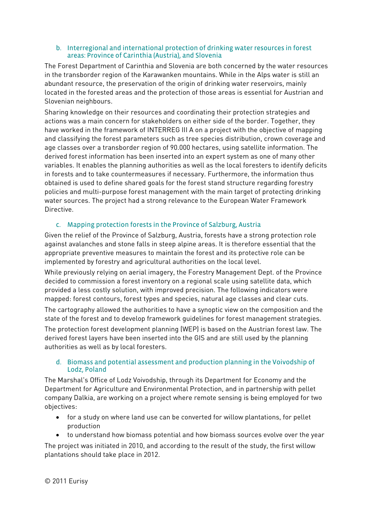#### b. Interregional and international protection of drinking water resources in forest areas: Province of Carinthia (Austria), and Slovenia

The Forest Department of Carinthia and Slovenia are both concerned by the water resources in the transborder region of the Karawanken mountains. While in the Alps water is still an abundant resource, the preservation of the origin of drinking water reservoirs, mainly located in the forested areas and the protection of those areas is essential for Austrian and Slovenian neighbours.

Sharing knowledge on their resources and coordinating their protection strategies and actions was a main concern for stakeholders on either side of the border. Together, they have worked in the framework of INTERREG III A on a project with the objective of mapping and classifying the forest parameters such as tree species distribution, crown coverage and age classes over a transborder region of 90.000 hectares, using satellite information. The derived forest information has been inserted into an expert system as one of many other variables. It enables the planning authorities as well as the local foresters to identify deficits in forests and to take countermeasures if necessary. Furthermore, the information thus obtained is used to define shared goals for the forest stand structure regarding forestry policies and multi-purpose forest management with the main target of protecting drinking water sources. The project had a strong relevance to the European Water Framework Directive.

### c. Mapping protection forests in the Province of Salzburg, Austria

Given the relief of the Province of Salzburg, Austria, forests have a strong protection role against avalanches and stone falls in steep alpine areas. It is therefore essential that the appropriate preventive measures to maintain the forest and its protective role can be implemented by forestry and agricultural authorities on the local level.

While previously relying on aerial imagery, the Forestry Management Dept. of the Province decided to commission a forest inventory on a regional scale using satellite data, which provided a less costly solution, with improved precision. The following indicators were mapped: forest contours, forest types and species, natural age classes and clear cuts. The cartography allowed the authorities to have a synoptic view on the composition and the state of the forest and to develop framework guidelines for forest management strategies.

The protection forest development planning (WEP) is based on the Austrian forest law. The derived forest layers have been inserted into the GIS and are still used by the planning authorities as well as by local foresters.

#### d. Biomass and potential assessment and production planning in the Voivodship of Lodz, Poland

The Marshal's Office of Lodz Voivodship, through its Department for Economy and the Department for Agriculture and Environmental Protection, and in partnership with pellet company Dalkia, are working on a project where remote sensing is being employed for two objectives:

- for a study on where land use can be converted for willow plantations, for pellet production
- to understand how biomass potential and how biomass sources evolve over the year

The project was initiated in 2010, and according to the result of the study, the first willow plantations should take place in 2012.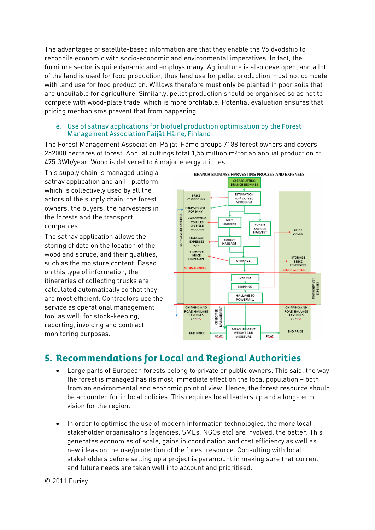The advantages of satellite-based information are that they enable the Voidvodship to reconcile economic with socio-economic and environmental imperatives. In fact, the furniture sector is quite dynamic and employs many. Agriculture is also developed, and a lot of the land is used for food production, thus land use for pellet production must not compete with land use for food production. Willows therefore must only be planted in poor soils that are unsuitable for agriculture. Similarly, pellet production should be organised so as not to compete with wood-plate trade, which is more profitable. Potential evaluation ensures that pricing mechanisms prevent that from happening.

#### e. Use of satnav applications for biofuel production optimisation by the Forest Management Association Päijät-Häme, Finland

The Forest Management Association Päijät-Häme groups 7188 forest owners and covers 252000 hectares of forest. Annual cuttings total 1,55 million  $m<sup>3</sup>$  for an annual production of 475 GWh/year. Wood is delivered to 6 major energy utilities.

This supply chain is managed using a satnav application and an IT platform which is collectively used by all the actors of the supply chain: the forest owners, the buyers, the harvesters in the forests and the transport companies.

The satnav application allows the storing of data on the location of the wood and spruce, and their qualities, such as the moisture content. Based on this type of information, the itineraries of collecting trucks are calculated automatically so that they are most efficient. Contractors use the service as operational management tool as well: for stock-keeping, reporting, invoicing and contract monitoring purposes.



### **5. Recommendations for Local and Regional Authorities**

- Large parts of European forests belong to private or public owners. This said, the way the forest is managed has its most immediate effect on the local population – both from an environmental and economic point of view. Hence, the forest resource should be accounted for in local policies. This requires local leadership and a long-term vision for the region.
- In order to optimise the use of modern information technologies, the more local stakeholder organisations (agencies, SMEs, NGOs etc) are involved, the better. This generates economies of scale, gains in coordination and cost efficiency as well as new ideas on the use/protection of the forest resource. Consulting with local stakeholders before setting up a project is paramount in making sure that current and future needs are taken well into account and prioritised.